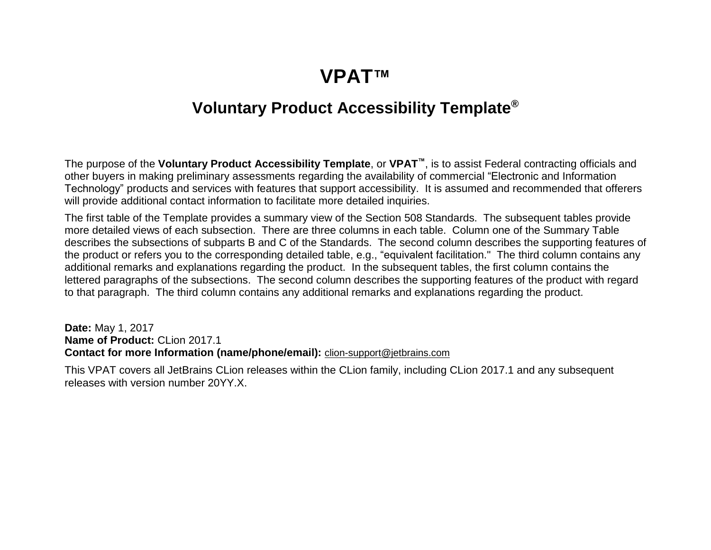## **VPAT™**

## **Voluntary Product Accessibility Template®**

The purpose of the **Voluntary Product Accessibility Template**, or **VPAT™**, is to assist Federal contracting officials and other buyers in making preliminary assessments regarding the availability of commercial "Electronic and Information Technology" products and services with features that support accessibility. It is assumed and recommended that offerers will provide additional contact information to facilitate more detailed inquiries.

The first table of the Template provides a summary view of the Section 508 Standards. The subsequent tables provide more detailed views of each subsection. There are three columns in each table. Column one of the Summary Table describes the subsections of subparts B and C of the Standards. The second column describes the supporting features of the product or refers you to the corresponding detailed table, e.g., "equivalent facilitation." The third column contains any additional remarks and explanations regarding the product. In the subsequent tables, the first column contains the lettered paragraphs of the subsections. The second column describes the supporting features of the product with regard to that paragraph. The third column contains any additional remarks and explanations regarding the product.

**Date:** May 1, 2017 **Name of Product:** CLion 2017.1 **Contact for more Information (name/phone/email):** [clion-support@jetbrains.com](mailto:clion-support@jetbrains.com?subject=)

This VPAT covers all JetBrains CLion releases within the CLion family, including CLion 2017.1 and any subsequent releases with version number 20YY.X.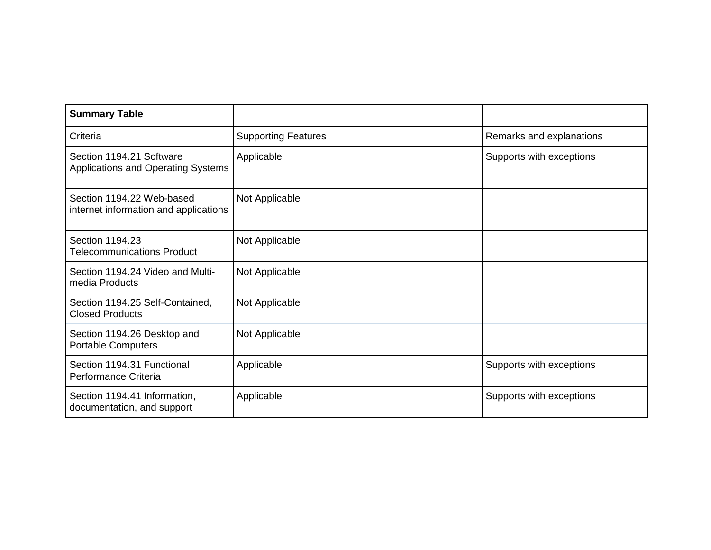| <b>Summary Table</b>                                               |                            |                          |
|--------------------------------------------------------------------|----------------------------|--------------------------|
| Criteria                                                           | <b>Supporting Features</b> | Remarks and explanations |
| Section 1194.21 Software<br>Applications and Operating Systems     | Applicable                 | Supports with exceptions |
| Section 1194.22 Web-based<br>internet information and applications | Not Applicable             |                          |
| Section 1194.23<br><b>Telecommunications Product</b>               | Not Applicable             |                          |
| Section 1194.24 Video and Multi-<br>media Products                 | Not Applicable             |                          |
| Section 1194.25 Self-Contained,<br><b>Closed Products</b>          | Not Applicable             |                          |
| Section 1194.26 Desktop and<br><b>Portable Computers</b>           | Not Applicable             |                          |
| Section 1194.31 Functional<br>Performance Criteria                 | Applicable                 | Supports with exceptions |
| Section 1194.41 Information,<br>documentation, and support         | Applicable                 | Supports with exceptions |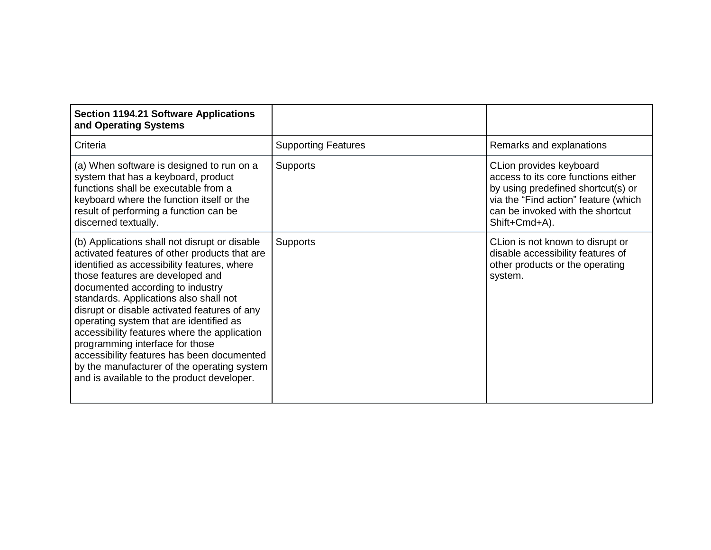| <b>Section 1194.21 Software Applications</b><br>and Operating Systems                                                                                                                                                                                                                                                                                                                                                                                                                                                                                                                    |                            |                                                                                                                                                                                                   |
|------------------------------------------------------------------------------------------------------------------------------------------------------------------------------------------------------------------------------------------------------------------------------------------------------------------------------------------------------------------------------------------------------------------------------------------------------------------------------------------------------------------------------------------------------------------------------------------|----------------------------|---------------------------------------------------------------------------------------------------------------------------------------------------------------------------------------------------|
| Criteria                                                                                                                                                                                                                                                                                                                                                                                                                                                                                                                                                                                 | <b>Supporting Features</b> | Remarks and explanations                                                                                                                                                                          |
| (a) When software is designed to run on a<br>system that has a keyboard, product<br>functions shall be executable from a<br>keyboard where the function itself or the<br>result of performing a function can be<br>discerned textually.                                                                                                                                                                                                                                                                                                                                                  | <b>Supports</b>            | CLion provides keyboard<br>access to its core functions either<br>by using predefined shortcut(s) or<br>via the "Find action" feature (which<br>can be invoked with the shortcut<br>Shift+Cmd+A). |
| (b) Applications shall not disrupt or disable<br>activated features of other products that are<br>identified as accessibility features, where<br>those features are developed and<br>documented according to industry<br>standards. Applications also shall not<br>disrupt or disable activated features of any<br>operating system that are identified as<br>accessibility features where the application<br>programming interface for those<br>accessibility features has been documented<br>by the manufacturer of the operating system<br>and is available to the product developer. | <b>Supports</b>            | CLion is not known to disrupt or<br>disable accessibility features of<br>other products or the operating<br>system.                                                                               |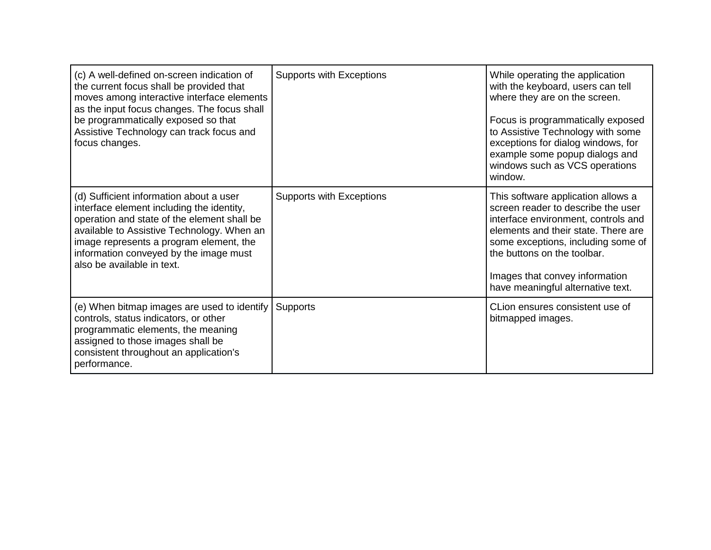| (c) A well-defined on-screen indication of<br>the current focus shall be provided that<br>moves among interactive interface elements<br>as the input focus changes. The focus shall<br>be programmatically exposed so that<br>Assistive Technology can track focus and<br>focus changes.             | <b>Supports with Exceptions</b> | While operating the application<br>with the keyboard, users can tell<br>where they are on the screen.<br>Focus is programmatically exposed<br>to Assistive Technology with some<br>exceptions for dialog windows, for<br>example some popup dialogs and<br>windows such as VCS operations<br>window. |
|------------------------------------------------------------------------------------------------------------------------------------------------------------------------------------------------------------------------------------------------------------------------------------------------------|---------------------------------|------------------------------------------------------------------------------------------------------------------------------------------------------------------------------------------------------------------------------------------------------------------------------------------------------|
| (d) Sufficient information about a user<br>interface element including the identity,<br>operation and state of the element shall be<br>available to Assistive Technology. When an<br>image represents a program element, the<br>information conveyed by the image must<br>also be available in text. | <b>Supports with Exceptions</b> | This software application allows a<br>screen reader to describe the user<br>interface environment, controls and<br>elements and their state. There are<br>some exceptions, including some of<br>the buttons on the toolbar.<br>Images that convey information<br>have meaningful alternative text.   |
| (e) When bitmap images are used to identify<br>controls, status indicators, or other<br>programmatic elements, the meaning<br>assigned to those images shall be<br>consistent throughout an application's<br>performance.                                                                            | <b>Supports</b>                 | CLion ensures consistent use of<br>bitmapped images.                                                                                                                                                                                                                                                 |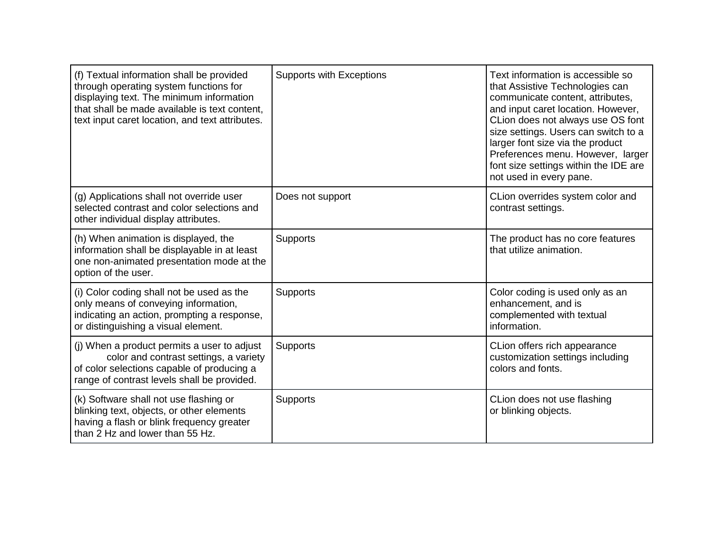| (f) Textual information shall be provided<br>through operating system functions for<br>displaying text. The minimum information<br>that shall be made available is text content,<br>text input caret location, and text attributes. | <b>Supports with Exceptions</b> | Text information is accessible so<br>that Assistive Technologies can<br>communicate content, attributes,<br>and input caret location. However,<br>CLion does not always use OS font<br>size settings. Users can switch to a<br>larger font size via the product<br>Preferences menu. However, larger<br>font size settings within the IDE are<br>not used in every pane. |
|-------------------------------------------------------------------------------------------------------------------------------------------------------------------------------------------------------------------------------------|---------------------------------|--------------------------------------------------------------------------------------------------------------------------------------------------------------------------------------------------------------------------------------------------------------------------------------------------------------------------------------------------------------------------|
| (g) Applications shall not override user<br>selected contrast and color selections and<br>other individual display attributes.                                                                                                      | Does not support                | CLion overrides system color and<br>contrast settings.                                                                                                                                                                                                                                                                                                                   |
| (h) When animation is displayed, the<br>information shall be displayable in at least<br>one non-animated presentation mode at the<br>option of the user.                                                                            | Supports                        | The product has no core features<br>that utilize animation.                                                                                                                                                                                                                                                                                                              |
| (i) Color coding shall not be used as the<br>only means of conveying information,<br>indicating an action, prompting a response,<br>or distinguishing a visual element.                                                             | Supports                        | Color coding is used only as an<br>enhancement, and is<br>complemented with textual<br>information.                                                                                                                                                                                                                                                                      |
| (i) When a product permits a user to adjust<br>color and contrast settings, a variety<br>of color selections capable of producing a<br>range of contrast levels shall be provided.                                                  | Supports                        | CLion offers rich appearance<br>customization settings including<br>colors and fonts.                                                                                                                                                                                                                                                                                    |
| (k) Software shall not use flashing or<br>blinking text, objects, or other elements<br>having a flash or blink frequency greater<br>than 2 Hz and lower than 55 Hz.                                                                 | Supports                        | CLion does not use flashing<br>or blinking objects.                                                                                                                                                                                                                                                                                                                      |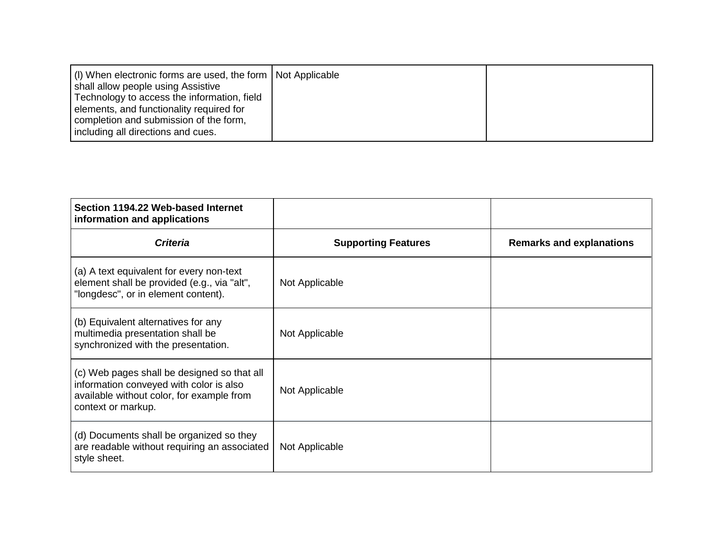| (I) When electronic forms are used, the form   Not Applicable<br>shall allow people using Assistive<br>Technology to access the information, field<br>elements, and functionality required for<br>completion and submission of the form,<br>including all directions and cues. |  |  |
|--------------------------------------------------------------------------------------------------------------------------------------------------------------------------------------------------------------------------------------------------------------------------------|--|--|
|--------------------------------------------------------------------------------------------------------------------------------------------------------------------------------------------------------------------------------------------------------------------------------|--|--|

| Section 1194.22 Web-based Internet<br>information and applications                                                                                        |                            |                                 |
|-----------------------------------------------------------------------------------------------------------------------------------------------------------|----------------------------|---------------------------------|
| <b>Criteria</b>                                                                                                                                           | <b>Supporting Features</b> | <b>Remarks and explanations</b> |
| (a) A text equivalent for every non-text<br>element shall be provided (e.g., via "alt",<br>"longdesc", or in element content).                            | Not Applicable             |                                 |
| (b) Equivalent alternatives for any<br>multimedia presentation shall be<br>synchronized with the presentation.                                            | Not Applicable             |                                 |
| (c) Web pages shall be designed so that all<br>information conveyed with color is also<br>available without color, for example from<br>context or markup. | Not Applicable             |                                 |
| (d) Documents shall be organized so they<br>are readable without requiring an associated<br>style sheet.                                                  | Not Applicable             |                                 |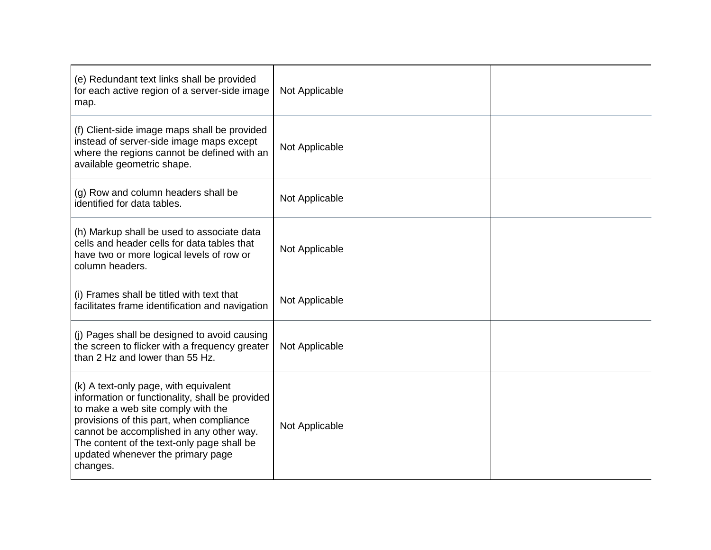| (e) Redundant text links shall be provided<br>for each active region of a server-side image<br>map.                                                                                                                                                                                                                   | Not Applicable |  |
|-----------------------------------------------------------------------------------------------------------------------------------------------------------------------------------------------------------------------------------------------------------------------------------------------------------------------|----------------|--|
| (f) Client-side image maps shall be provided<br>instead of server-side image maps except<br>where the regions cannot be defined with an<br>available geometric shape.                                                                                                                                                 | Not Applicable |  |
| (g) Row and column headers shall be<br>identified for data tables.                                                                                                                                                                                                                                                    | Not Applicable |  |
| (h) Markup shall be used to associate data<br>cells and header cells for data tables that<br>have two or more logical levels of row or<br>column headers.                                                                                                                                                             | Not Applicable |  |
| (i) Frames shall be titled with text that<br>facilitates frame identification and navigation                                                                                                                                                                                                                          | Not Applicable |  |
| (j) Pages shall be designed to avoid causing<br>the screen to flicker with a frequency greater<br>than 2 Hz and lower than 55 Hz.                                                                                                                                                                                     | Not Applicable |  |
| (k) A text-only page, with equivalent<br>information or functionality, shall be provided<br>to make a web site comply with the<br>provisions of this part, when compliance<br>cannot be accomplished in any other way.<br>The content of the text-only page shall be<br>updated whenever the primary page<br>changes. | Not Applicable |  |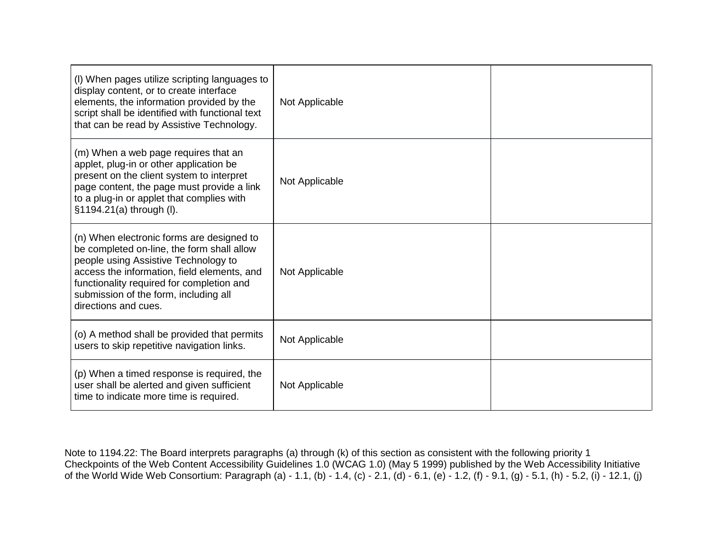| (I) When pages utilize scripting languages to<br>display content, or to create interface<br>elements, the information provided by the<br>script shall be identified with functional text<br>that can be read by Assistive Technology.                                                        | Not Applicable |  |
|----------------------------------------------------------------------------------------------------------------------------------------------------------------------------------------------------------------------------------------------------------------------------------------------|----------------|--|
| (m) When a web page requires that an<br>applet, plug-in or other application be<br>present on the client system to interpret<br>page content, the page must provide a link<br>to a plug-in or applet that complies with<br>§1194.21(a) through (I).                                          | Not Applicable |  |
| (n) When electronic forms are designed to<br>be completed on-line, the form shall allow<br>people using Assistive Technology to<br>access the information, field elements, and<br>functionality required for completion and<br>submission of the form, including all<br>directions and cues. | Not Applicable |  |
| (o) A method shall be provided that permits<br>users to skip repetitive navigation links.                                                                                                                                                                                                    | Not Applicable |  |
| (p) When a timed response is required, the<br>user shall be alerted and given sufficient<br>time to indicate more time is required.                                                                                                                                                          | Not Applicable |  |

Note to 1194.22: The Board interprets paragraphs (a) through (k) of this section as consistent with the following priority 1 Checkpoints of the Web Content Accessibility Guidelines 1.0 (WCAG 1.0) (May 5 1999) published by the Web Accessibility Initiative of the World Wide Web Consortium: Paragraph (a) - 1.1, (b) - 1.4, (c) - 2.1, (d) - 6.1, (e) - 1.2, (f) - 9.1, (g) - 5.1, (h) - 5.2, (i) - 12.1, (j)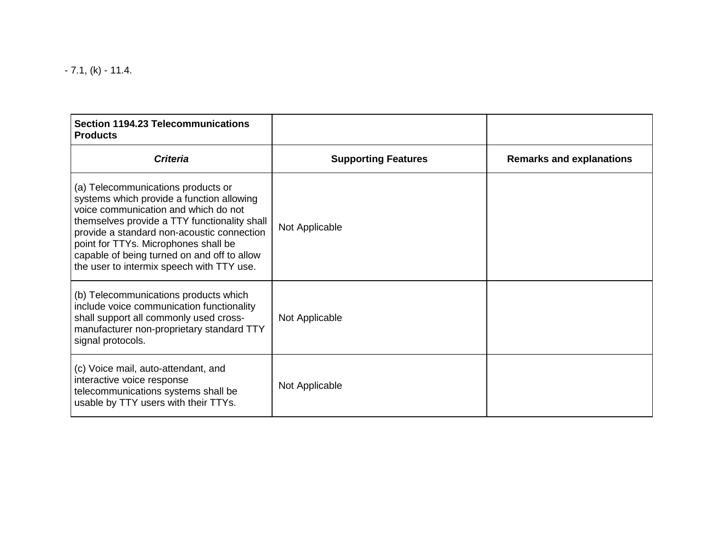$-7.1$ , (k)  $-11.4$ .

| <b>Section 1194.23 Telecommunications</b><br><b>Products</b>                                                                                                                                                                                                                                                                                              |                            |                                 |
|-----------------------------------------------------------------------------------------------------------------------------------------------------------------------------------------------------------------------------------------------------------------------------------------------------------------------------------------------------------|----------------------------|---------------------------------|
| <b>Criteria</b>                                                                                                                                                                                                                                                                                                                                           | <b>Supporting Features</b> | <b>Remarks and explanations</b> |
| (a) Telecommunications products or<br>systems which provide a function allowing<br>voice communication and which do not<br>themselves provide a TTY functionality shall<br>provide a standard non-acoustic connection<br>point for TTYs. Microphones shall be<br>capable of being turned on and off to allow<br>the user to intermix speech with TTY use. | Not Applicable             |                                 |
| (b) Telecommunications products which<br>include voice communication functionality<br>shall support all commonly used cross-<br>manufacturer non-proprietary standard TTY<br>signal protocols.                                                                                                                                                            | Not Applicable             |                                 |
| (c) Voice mail, auto-attendant, and<br>interactive voice response<br>telecommunications systems shall be<br>usable by TTY users with their TTYs.                                                                                                                                                                                                          | Not Applicable             |                                 |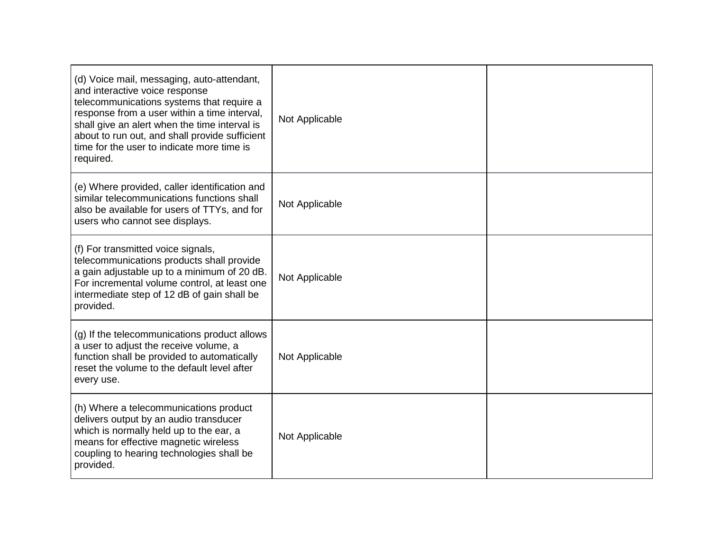| (d) Voice mail, messaging, auto-attendant,<br>and interactive voice response<br>telecommunications systems that require a<br>response from a user within a time interval,<br>shall give an alert when the time interval is<br>about to run out, and shall provide sufficient<br>time for the user to indicate more time is<br>required. | Not Applicable |  |
|-----------------------------------------------------------------------------------------------------------------------------------------------------------------------------------------------------------------------------------------------------------------------------------------------------------------------------------------|----------------|--|
| (e) Where provided, caller identification and<br>similar telecommunications functions shall<br>also be available for users of TTYs, and for<br>users who cannot see displays.                                                                                                                                                           | Not Applicable |  |
| (f) For transmitted voice signals,<br>telecommunications products shall provide<br>a gain adjustable up to a minimum of 20 dB.<br>For incremental volume control, at least one<br>intermediate step of 12 dB of gain shall be<br>provided.                                                                                              | Not Applicable |  |
| (g) If the telecommunications product allows<br>a user to adjust the receive volume, a<br>function shall be provided to automatically<br>reset the volume to the default level after<br>every use.                                                                                                                                      | Not Applicable |  |
| (h) Where a telecommunications product<br>delivers output by an audio transducer<br>which is normally held up to the ear, a<br>means for effective magnetic wireless<br>coupling to hearing technologies shall be<br>provided.                                                                                                          | Not Applicable |  |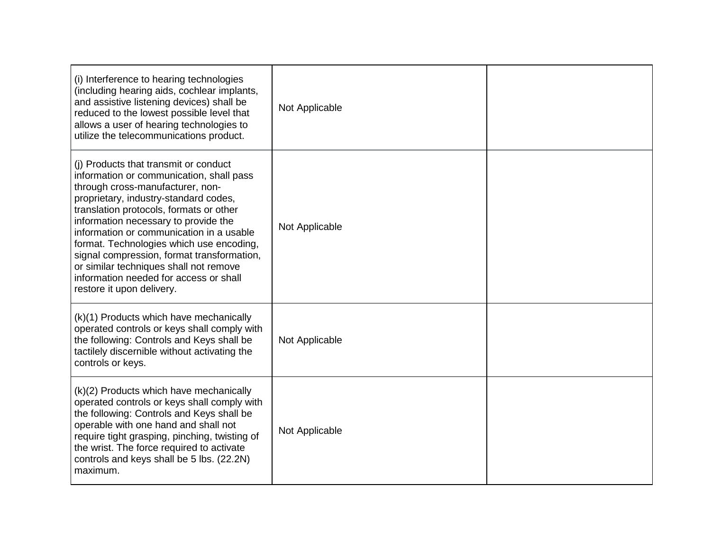| (i) Interference to hearing technologies<br>(including hearing aids, cochlear implants,<br>and assistive listening devices) shall be<br>reduced to the lowest possible level that<br>allows a user of hearing technologies to<br>utilize the telecommunications product.                                                                                                                                                                                                                                 | Not Applicable |  |
|----------------------------------------------------------------------------------------------------------------------------------------------------------------------------------------------------------------------------------------------------------------------------------------------------------------------------------------------------------------------------------------------------------------------------------------------------------------------------------------------------------|----------------|--|
| (i) Products that transmit or conduct<br>information or communication, shall pass<br>through cross-manufacturer, non-<br>proprietary, industry-standard codes,<br>translation protocols, formats or other<br>information necessary to provide the<br>information or communication in a usable<br>format. Technologies which use encoding,<br>signal compression, format transformation,<br>or similar techniques shall not remove<br>information needed for access or shall<br>restore it upon delivery. | Not Applicable |  |
| (k)(1) Products which have mechanically<br>operated controls or keys shall comply with<br>the following: Controls and Keys shall be<br>tactilely discernible without activating the<br>controls or keys.                                                                                                                                                                                                                                                                                                 | Not Applicable |  |
| (k)(2) Products which have mechanically<br>operated controls or keys shall comply with<br>the following: Controls and Keys shall be<br>operable with one hand and shall not<br>require tight grasping, pinching, twisting of<br>the wrist. The force required to activate<br>controls and keys shall be 5 lbs. (22.2N)<br>maximum.                                                                                                                                                                       | Not Applicable |  |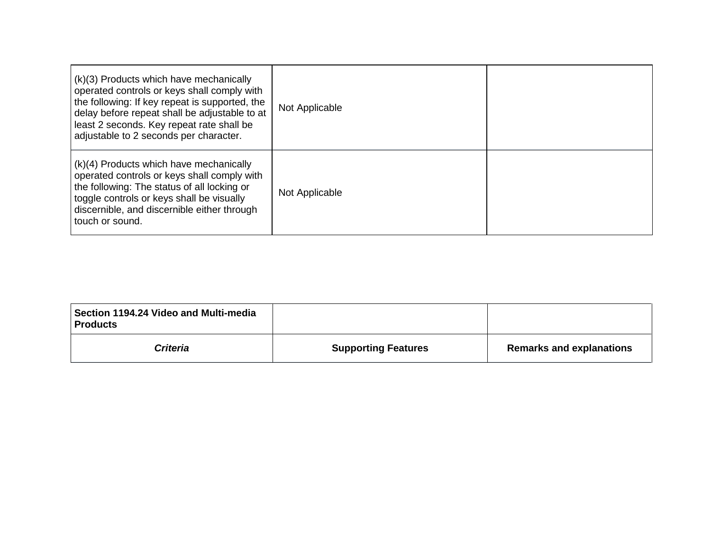| (k)(3) Products which have mechanically<br>operated controls or keys shall comply with<br>the following: If key repeat is supported, the<br>delay before repeat shall be adjustable to at<br>least 2 seconds. Key repeat rate shall be<br>adjustable to 2 seconds per character. | Not Applicable |  |
|----------------------------------------------------------------------------------------------------------------------------------------------------------------------------------------------------------------------------------------------------------------------------------|----------------|--|
| (k)(4) Products which have mechanically<br>operated controls or keys shall comply with<br>the following: The status of all locking or<br>toggle controls or keys shall be visually<br>discernible, and discernible either through<br>touch or sound.                             | Not Applicable |  |

| Section 1194.24 Video and Multi-media<br><b>Products</b> |                            |                                 |
|----------------------------------------------------------|----------------------------|---------------------------------|
| <b>Criteria</b>                                          | <b>Supporting Features</b> | <b>Remarks and explanations</b> |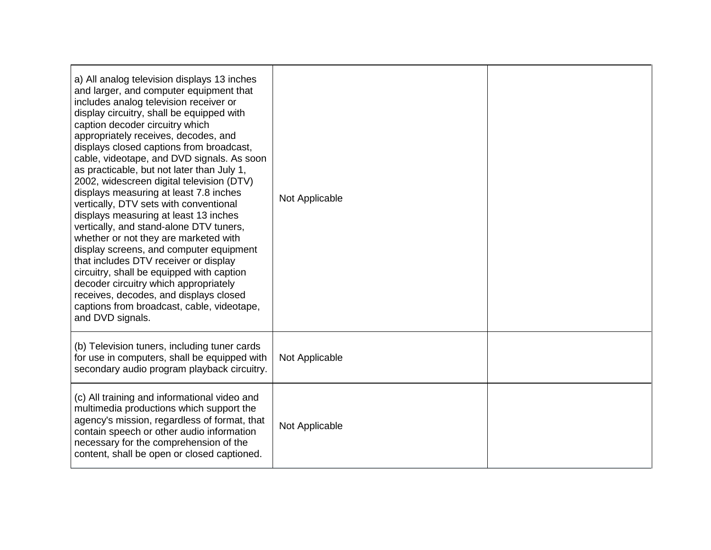| a) All analog television displays 13 inches<br>and larger, and computer equipment that<br>includes analog television receiver or<br>display circuitry, shall be equipped with<br>caption decoder circuitry which<br>appropriately receives, decodes, and<br>displays closed captions from broadcast,<br>cable, videotape, and DVD signals. As soon<br>as practicable, but not later than July 1,<br>2002, widescreen digital television (DTV)<br>displays measuring at least 7.8 inches<br>vertically, DTV sets with conventional<br>displays measuring at least 13 inches<br>vertically, and stand-alone DTV tuners,<br>whether or not they are marketed with<br>display screens, and computer equipment<br>that includes DTV receiver or display<br>circuitry, shall be equipped with caption<br>decoder circuitry which appropriately<br>receives, decodes, and displays closed<br>captions from broadcast, cable, videotape,<br>and DVD signals. | Not Applicable |  |
|------------------------------------------------------------------------------------------------------------------------------------------------------------------------------------------------------------------------------------------------------------------------------------------------------------------------------------------------------------------------------------------------------------------------------------------------------------------------------------------------------------------------------------------------------------------------------------------------------------------------------------------------------------------------------------------------------------------------------------------------------------------------------------------------------------------------------------------------------------------------------------------------------------------------------------------------------|----------------|--|
| (b) Television tuners, including tuner cards<br>for use in computers, shall be equipped with<br>secondary audio program playback circuitry.                                                                                                                                                                                                                                                                                                                                                                                                                                                                                                                                                                                                                                                                                                                                                                                                          | Not Applicable |  |
| (c) All training and informational video and<br>multimedia productions which support the<br>agency's mission, regardless of format, that<br>contain speech or other audio information<br>necessary for the comprehension of the<br>content, shall be open or closed captioned.                                                                                                                                                                                                                                                                                                                                                                                                                                                                                                                                                                                                                                                                       | Not Applicable |  |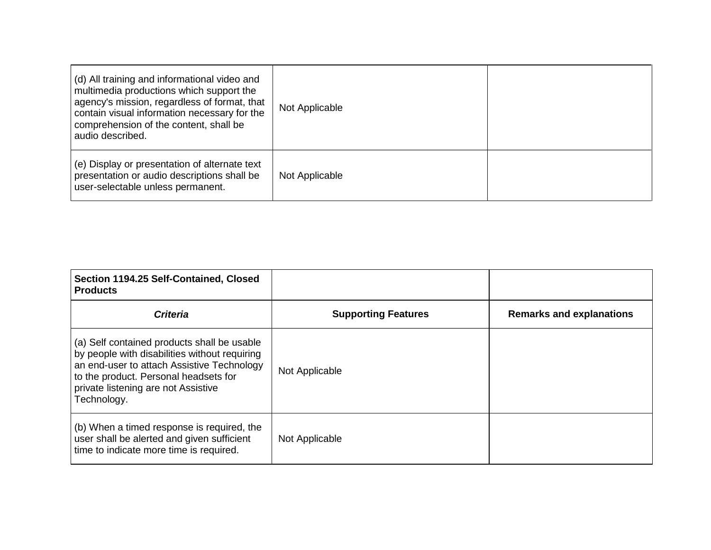| (d) All training and informational video and<br>multimedia productions which support the<br>agency's mission, regardless of format, that<br>contain visual information necessary for the<br>comprehension of the content, shall be<br>audio described. | Not Applicable |  |
|--------------------------------------------------------------------------------------------------------------------------------------------------------------------------------------------------------------------------------------------------------|----------------|--|
| (e) Display or presentation of alternate text<br>presentation or audio descriptions shall be<br>user-selectable unless permanent.                                                                                                                      | Not Applicable |  |

| Section 1194.25 Self-Contained, Closed<br><b>Products</b>                                                                                                                                                                                 |                            |                                 |
|-------------------------------------------------------------------------------------------------------------------------------------------------------------------------------------------------------------------------------------------|----------------------------|---------------------------------|
| <b>Criteria</b>                                                                                                                                                                                                                           | <b>Supporting Features</b> | <b>Remarks and explanations</b> |
| (a) Self contained products shall be usable<br>by people with disabilities without requiring<br>an end-user to attach Assistive Technology<br>to the product. Personal headsets for<br>private listening are not Assistive<br>Technology. | Not Applicable             |                                 |
| (b) When a timed response is required, the<br>user shall be alerted and given sufficient<br>time to indicate more time is required.                                                                                                       | Not Applicable             |                                 |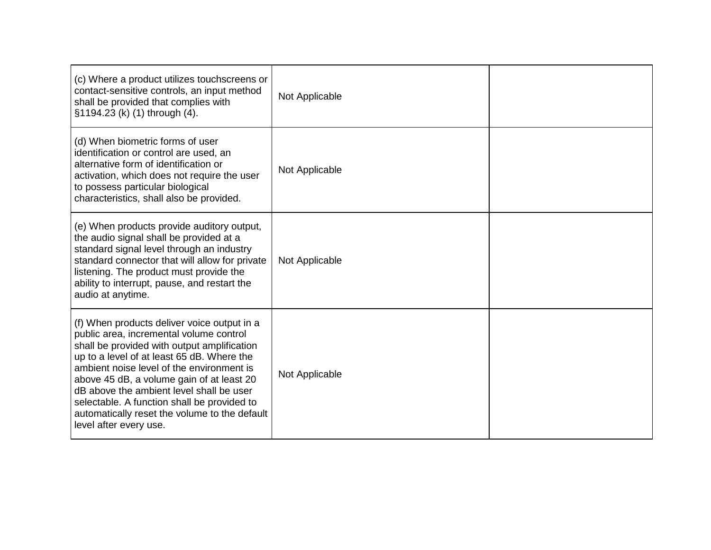| (c) Where a product utilizes touchscreens or<br>contact-sensitive controls, an input method<br>shall be provided that complies with<br>§1194.23 (k) (1) through (4).                                                                                                                                                                                                                                                                                | Not Applicable |  |
|-----------------------------------------------------------------------------------------------------------------------------------------------------------------------------------------------------------------------------------------------------------------------------------------------------------------------------------------------------------------------------------------------------------------------------------------------------|----------------|--|
| (d) When biometric forms of user<br>identification or control are used, an<br>alternative form of identification or<br>activation, which does not require the user<br>to possess particular biological<br>characteristics, shall also be provided.                                                                                                                                                                                                  | Not Applicable |  |
| (e) When products provide auditory output,<br>the audio signal shall be provided at a<br>standard signal level through an industry<br>standard connector that will allow for private<br>listening. The product must provide the<br>ability to interrupt, pause, and restart the<br>audio at anytime.                                                                                                                                                | Not Applicable |  |
| (f) When products deliver voice output in a<br>public area, incremental volume control<br>shall be provided with output amplification<br>up to a level of at least 65 dB. Where the<br>ambient noise level of the environment is<br>above 45 dB, a volume gain of at least 20<br>dB above the ambient level shall be user<br>selectable. A function shall be provided to<br>automatically reset the volume to the default<br>level after every use. | Not Applicable |  |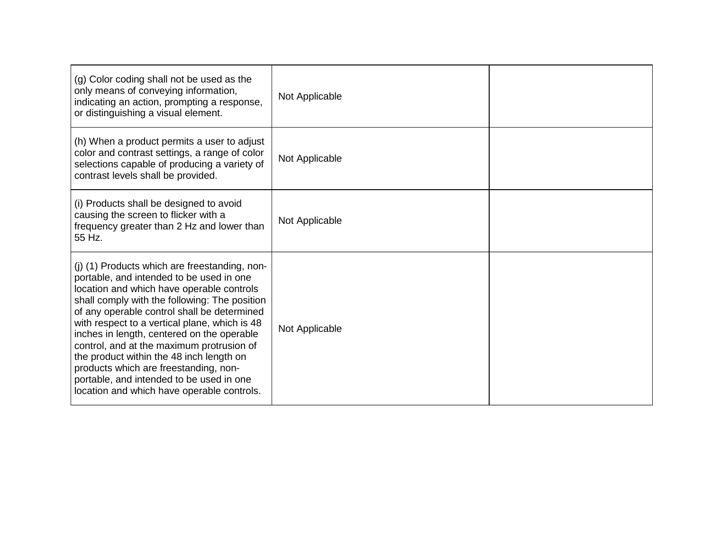| (g) Color coding shall not be used as the<br>only means of conveying information,<br>indicating an action, prompting a response,<br>or distinguishing a visual element.                                                                                                                                                                                                                                                                                                                                                                                           | Not Applicable |  |
|-------------------------------------------------------------------------------------------------------------------------------------------------------------------------------------------------------------------------------------------------------------------------------------------------------------------------------------------------------------------------------------------------------------------------------------------------------------------------------------------------------------------------------------------------------------------|----------------|--|
| (h) When a product permits a user to adjust<br>color and contrast settings, a range of color<br>selections capable of producing a variety of<br>contrast levels shall be provided.                                                                                                                                                                                                                                                                                                                                                                                | Not Applicable |  |
| (i) Products shall be designed to avoid<br>causing the screen to flicker with a<br>frequency greater than 2 Hz and lower than<br>55 Hz.                                                                                                                                                                                                                                                                                                                                                                                                                           | Not Applicable |  |
| (j) (1) Products which are freestanding, non-<br>portable, and intended to be used in one<br>location and which have operable controls<br>shall comply with the following: The position<br>of any operable control shall be determined<br>with respect to a vertical plane, which is 48<br>inches in length, centered on the operable<br>control, and at the maximum protrusion of<br>the product within the 48 inch length on<br>products which are freestanding, non-<br>portable, and intended to be used in one<br>location and which have operable controls. | Not Applicable |  |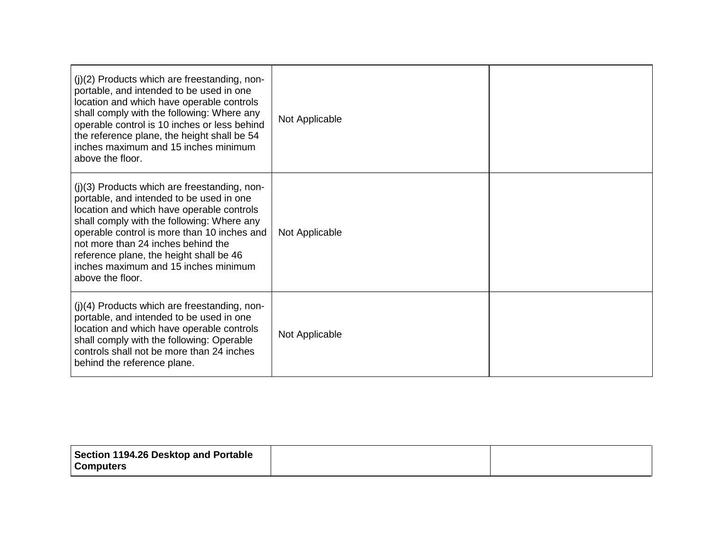| $(j)(2)$ Products which are freestanding, non-<br>portable, and intended to be used in one<br>location and which have operable controls<br>shall comply with the following: Where any<br>operable control is 10 inches or less behind<br>the reference plane, the height shall be 54<br>inches maximum and 15 inches minimum<br>above the floor.                                  | Not Applicable |  |
|-----------------------------------------------------------------------------------------------------------------------------------------------------------------------------------------------------------------------------------------------------------------------------------------------------------------------------------------------------------------------------------|----------------|--|
| $(j)(3)$ Products which are freestanding, non-<br>portable, and intended to be used in one<br>location and which have operable controls<br>shall comply with the following: Where any<br>operable control is more than 10 inches and<br>not more than 24 inches behind the<br>reference plane, the height shall be 46<br>inches maximum and 15 inches minimum<br>above the floor. | Not Applicable |  |
| (j)(4) Products which are freestanding, non-<br>portable, and intended to be used in one<br>location and which have operable controls<br>shall comply with the following: Operable<br>controls shall not be more than 24 inches<br>behind the reference plane.                                                                                                                    | Not Applicable |  |

| Section 1194.26 Desktop and Portable |  |
|--------------------------------------|--|
| <b>Computers</b>                     |  |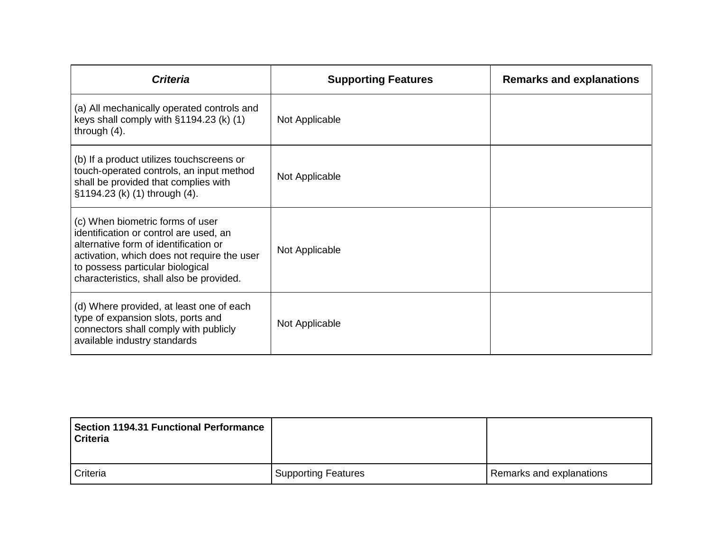| <b>Criteria</b>                                                                                                                                                                                                                                    | <b>Supporting Features</b> | <b>Remarks and explanations</b> |
|----------------------------------------------------------------------------------------------------------------------------------------------------------------------------------------------------------------------------------------------------|----------------------------|---------------------------------|
| (a) All mechanically operated controls and<br>keys shall comply with §1194.23 (k) (1)<br>through $(4)$ .                                                                                                                                           | Not Applicable             |                                 |
| (b) If a product utilizes touchscreens or<br>touch-operated controls, an input method<br>shall be provided that complies with<br>§1194.23 (k) (1) through (4).                                                                                     | Not Applicable             |                                 |
| (c) When biometric forms of user<br>identification or control are used, an<br>alternative form of identification or<br>activation, which does not require the user<br>to possess particular biological<br>characteristics, shall also be provided. | Not Applicable             |                                 |
| (d) Where provided, at least one of each<br>type of expansion slots, ports and<br>connectors shall comply with publicly<br>available industry standards                                                                                            | Not Applicable             |                                 |

| <b>Section 1194.31 Functional Performance</b><br><b>Criteria</b> |                            |                          |
|------------------------------------------------------------------|----------------------------|--------------------------|
| Criteria                                                         | <b>Supporting Features</b> | Remarks and explanations |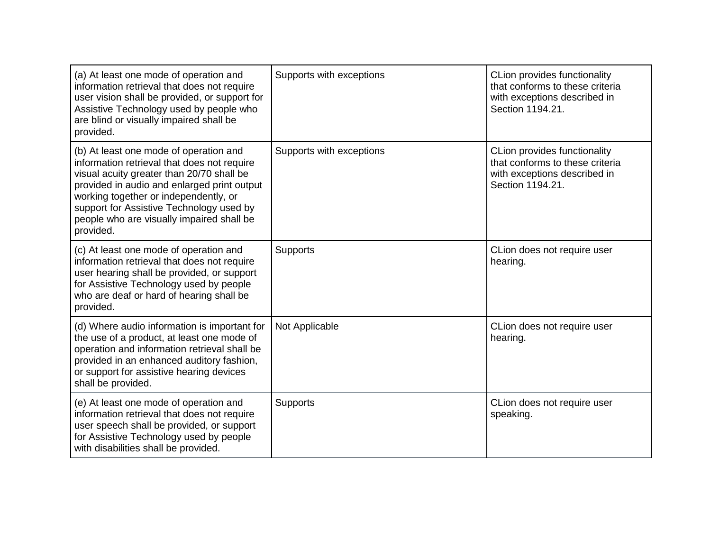| (a) At least one mode of operation and<br>information retrieval that does not require<br>user vision shall be provided, or support for<br>Assistive Technology used by people who<br>are blind or visually impaired shall be<br>provided.                                                                                        | Supports with exceptions | <b>CLion provides functionality</b><br>that conforms to these criteria<br>with exceptions described in<br>Section 1194.21. |
|----------------------------------------------------------------------------------------------------------------------------------------------------------------------------------------------------------------------------------------------------------------------------------------------------------------------------------|--------------------------|----------------------------------------------------------------------------------------------------------------------------|
| (b) At least one mode of operation and<br>information retrieval that does not require<br>visual acuity greater than 20/70 shall be<br>provided in audio and enlarged print output<br>working together or independently, or<br>support for Assistive Technology used by<br>people who are visually impaired shall be<br>provided. | Supports with exceptions | CLion provides functionality<br>that conforms to these criteria<br>with exceptions described in<br>Section 1194.21.        |
| (c) At least one mode of operation and<br>information retrieval that does not require<br>user hearing shall be provided, or support<br>for Assistive Technology used by people<br>who are deaf or hard of hearing shall be<br>provided.                                                                                          | <b>Supports</b>          | CLion does not require user<br>hearing.                                                                                    |
| (d) Where audio information is important for<br>the use of a product, at least one mode of<br>operation and information retrieval shall be<br>provided in an enhanced auditory fashion,<br>or support for assistive hearing devices<br>shall be provided.                                                                        | Not Applicable           | CLion does not require user<br>hearing.                                                                                    |
| (e) At least one mode of operation and<br>information retrieval that does not require<br>user speech shall be provided, or support<br>for Assistive Technology used by people<br>with disabilities shall be provided.                                                                                                            | <b>Supports</b>          | CLion does not require user<br>speaking.                                                                                   |